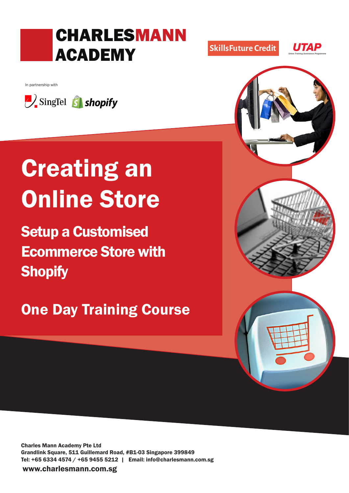## CHARLESMANN ACADEMY

In partnership with



# Creating an Online Store

Setup a Customised Ecommerce Store with **Shopify** 

## One Day Training Course

Charles Mann Academy Pte Ltd Grandlink Square, 511 Guillemard Road, #B1-03 Singapore 399849 Tel: +65 6334 4574 / +65 9455 5212 | Email: info@charlesmann.com.sg

www.charlesmann.com.sg



SkillsFuture Credit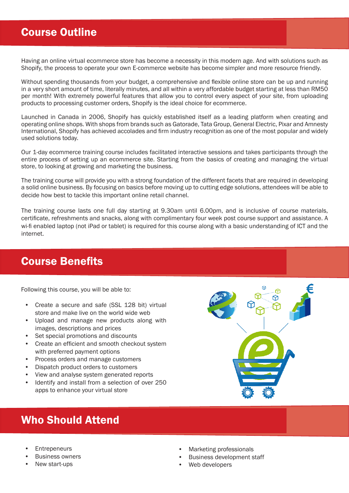## Course Outline

Having an online virtual ecommerce store has become a necessity in this modern age. And with solutions such as Shopify, the process to operate your own E-commerce website has become simpler and more resource friendly.

Without spending thousands from your budget, a comprehensive and flexible online store can be up and running in a very short amount of time, literally minutes, and all within a very affordable budget starting at less than RM50 per month! With extremely powerful features that allow you to control every aspect of your site, from uploading products to processing customer orders, Shopify is the ideal choice for ecommerce.

Launched in Canada in 2006, Shopify has quickly established itself as a leading platform when creating and operating online shops. With shops from brands such as Gatorade, Tata Group, General Electric, Pixar and Amnesty International, Shopify has achieved accolades and firm industry recognition as one of the most popular and widely used solutions today.

Our 1-day ecommerce training course includes facilitated interactive sessions and takes participants through the entire process of setting up an ecommerce site. Starting from the basics of creating and managing the virtual store, to looking at growing and marketing the business.

The training course will provide you with a strong foundation of the different facets that are required in developing a solid online business. By focusing on basics before moving up to cutting edge solutions, attendees will be able to decide how best to tackle this important online retail channel.

The training course lasts one full day starting at 9.30am until 6.00pm, and is inclusive of course materials, certificate, refreshments and snacks, along with complimentary four week post course support and assistance. A wi-fi enabled laptop (not iPad or tablet) is required for this course along with a basic understanding of ICT and the internet.

### Course Benefits

Following this course, you will be able to:

- Create a secure and safe (SSL 128 bit) virtual store and make live on the world wide web
- Upload and manage new products along with images, descriptions and prices
- Set special promotions and discounts
- Create an efficient and smooth checkout system with preferred payment options
- Process orders and manage customers
- Dispatch product orders to customers
- View and analyse system generated reports
- Identify and install from a selection of over 250 apps to enhance your virtual store

## Who Should Attend

- **Entrepeneurs**
- **Business owners**
- New start-ups
- Marketing professionals
- Business development staff

ᢙ

Web developers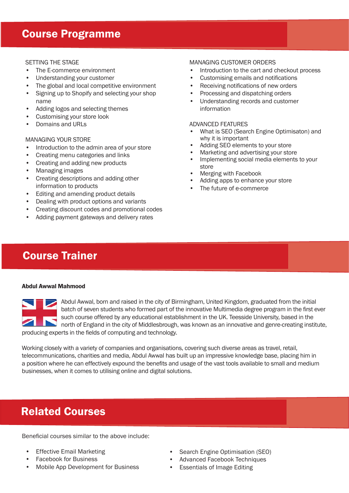## Course Programme

#### SETTING THE STAGE

- The E-commerce environment
- Understanding your customer
- The global and local competitive environment
- Signing up to Shopify and selecting your shop name
- Adding logos and selecting themes
- Customising your store look
- Domains and URLs

#### MANAGING YOUR STORE

- Introduction to the admin area of your store
- Creating menu categories and links
- Creating and adding new products
- Managing images
- Creating descriptions and adding other information to products
- Editing and amending product details
- Dealing with product options and variants
- Creating discount codes and promotional codes
- Adding payment gateways and delivery rates

#### MANAGING CUSTOMER ORDERS

- Introduction to the cart and checkout process
- Customising emails and notifications
- Receiving notifications of new orders
- Processing and dispatching orders
- Understanding records and customer information

#### ADVANCED FEATURES

- What is SEO (Search Engine Optimisaton) and why it is important
- Adding SEO elements to your store
- Marketing and advertising your store<br>• Implementing social media elements
- Implementing social media elements to your store
- Merging with Facebook
- Adding apps to enhance your store
- The future of e-commerce

## Course Trainer

#### Abdul Awwal Mahmood

Abdul Awwal, born and raised in the city of Birmingham, United Kingdom, graduated from the initial batch of seven students who formed part of the innovative Multimedia degree program in the first ever such course offered by any educational establishment in the UK. Teesside University, based in the north of England in the city of Middlesbrough, was known as an innovative and genre-creating institute, producing experts in the fields of computing and technology.

Working closely with a variety of companies and organisations, covering such diverse areas as travel, retail, telecommunications, charities and media, Abdul Awwal has built up an impressive knowledge base, placing him in a position where he can effectively expound the benefits and usage of the vast tools available to small and medium businesses, when it comes to utilising online and digital solutions.

## Related Courses

Beneficial courses similar to the above include:

- **Effective Email Marketing**
- Facebook for Business
- Mobile App Development for Business
- Search Engine Optimisation (SEO)
- Advanced Facebook Techniques
- Essentials of Image Editing